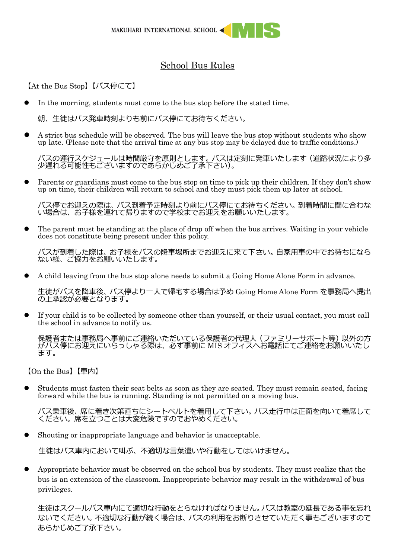## School Bus Rules

【At the Bus Stop】【バス停にて】

⚫ In the morning, students must come to the bus stop before the stated time.

朝、生徒はバス発車時刻よりも前にバス停にてお待ちください。

⚫ A strict bus schedule will be observed. The bus will leave the bus stop without students who show up late. (Please note that the arrival time at any bus stop may be delayed due to traffic conditions.)

バスの運行スケジュールは時間厳守を原則とします。バスは定刻に発車いたします(道路状況により多 少遅れる可能性もございますのであらかじめご了承下さい)。

Parents or guardians must come to the bus stop on time to pick up their children. If they don't show up on time, their children will return to school and they must pick them up later at school.

バス停でお迎えの際は、バス到着予定時刻より前にバス停にてお待ちください。到着時間に間に合わな い場合は、お子様を連れて帰りますので学校までお迎えをお願いいたします。

⚫ The parent must be standing at the place of drop off when the bus arrives. Waiting in your vehicle does not constitute being present under this policy.

バスが到着した際は、お子様をバスの降車場所までお迎えに来て下さい。自家用車の中でお待ちになら ない様、ご協力をお願いいたします。

⚫ A child leaving from the bus stop alone needs to submit a Going Home Alone Form in advance.

生徒がバスを降車後、バス停より一人で帰宅する場合は予め Going Home Alone Form を事務局へ提出 の上承認が必要となります。

⚫ If your child is to be collected by someone other than yourself, or their usual contact, you must call the school in advance to notify us.

保護者または事務局へ事前にご連絡いただいている保護者の代理人(ファミリーサポート等)以外の方 がバス停にお迎えにいらっしゃる際は、必ず事前に MIS オフィスへお電話にてご連絡をお願いいたし ます。

【On the Bus】【車内】

⚫ Students must fasten their seat belts as soon as they are seated. They must remain seated, facing forward while the bus is running. Standing is not permitted on a moving bus.

バス乗車後、席に着き次第直ちにシートベルトを着用して下さい。バス走行中は正面を向いて着席して ください。席を立つことは大変危険ですのでおやめください。

⚫ Shouting or inappropriate language and behavior is unacceptable.

生徒はバス車内において叫ぶ、不適切な言葉遣いや行動をしてはいけません。

⚫ Appropriate behavior must be observed on the school bus by students. They must realize that the bus is an extension of the classroom. Inappropriate behavior may result in the withdrawal of bus privileges.

生徒はスクールバス車内にて適切な行動をとらなければなりません。バスは教室の延長である事を忘れ ないでください。不適切な行動が続く場合は、バスの利用をお断りさせていただく事もございますので あらかじめご了承下さい。